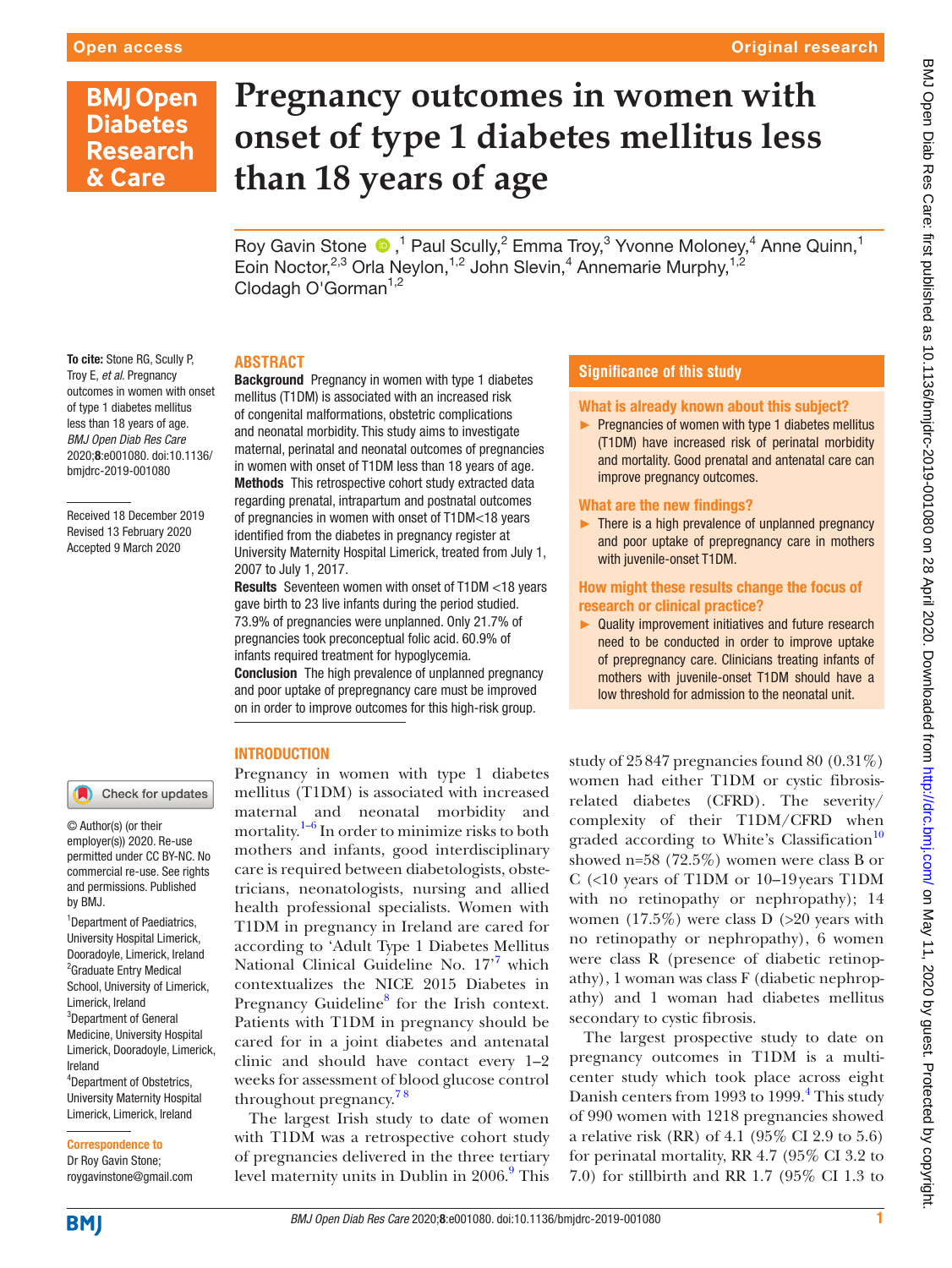# Original research

# **BMJ Open Diabetes Research** & Care

# **Pregnancy outcomes in women with onset of type 1 diabetes mellitus less than 18 years of age**

Roy Gavin Stone  $\bigcirc$ ,<sup>1</sup> Paul Scully,<sup>2</sup> Emma Troy,<sup>3</sup> Yvonne Moloney,<sup>4</sup> Anne Quinn,<sup>1</sup> Eoin Noctor,<sup>2,3</sup> Orla Neylon,<sup>1,2</sup> John Slevin,<sup>4</sup> Annemarie Murphy,<sup>1,2</sup> Clodagh O'Gorman<sup>1,2</sup>

# **Abstract**

To cite: Stone RG, Scully P, Troy E, *et al*. Pregnancy outcomes in women with onset of type 1 diabetes mellitus less than 18 years of age. *BMJ Open Diab Res Care* 2020;8:e001080. doi:10.1136/ bmjdrc-2019-001080

Received 18 December 2019 Revised 13 February 2020 Accepted 9 March 2020

## **Background** Pregnancy in women with type 1 diabetes mellitus (T1DM) is associated with an increased risk of congenital malformations, obstetric complications and neonatal morbidity. This study aims to investigate maternal, perinatal and neonatal outcomes of pregnancies in women with onset of T1DM less than 18 years of age. Methods This retrospective cohort study extracted data regarding prenatal, intrapartum and postnatal outcomes of pregnancies in women with onset of T1DM<18 years identified from the diabetes in pregnancy register at University Maternity Hospital Limerick, treated from July 1, 2007 to July 1, 2017.

Results Seventeen women with onset of T1DM <18 years gave birth to 23 live infants during the period studied. 73.9% of pregnancies were unplanned. Only 21.7% of pregnancies took preconceptual folic acid. 60.9% of infants required treatment for hypoglycemia. Conclusion The high prevalence of unplanned pregnancy

and poor uptake of prepregnancy care must be improved on in order to improve outcomes for this high-risk group.

# **INTRODUCTION**

Pregnancy in women with type 1 diabetes mellitus (T1DM) is associated with increased maternal and neonatal morbidity and mortality. $1-6$  In order to minimize risks to both mothers and infants, good interdisciplinary care is required between diabetologists, obstetricians, neonatologists, nursing and allied health professional specialists. Women with T1DM in pregnancy in Ireland are cared for according to 'Adult Type 1 Diabetes Mellitus National Clinical Guideline No. 1[7](#page-3-1)<sup>7</sup> which contextualizes the NICE 2015 Diabetes in Pregnancy Guideline<sup>8</sup> for the Irish context. Patients with T1DM in pregnancy should be cared for in a joint diabetes and antenatal clinic and should have contact every 1–2 weeks for assessment of blood glucose control throughout pregnancy.<sup>78</sup>

The largest Irish study to date of women with T1DM was a retrospective cohort study of pregnancies delivered in the three tertiary level maternity units in Dublin in 2006.<sup>9</sup> This

# **Significance of this study**

# What is already known about this subject?

► Pregnancies of women with type 1 diabetes mellitus (T1DM) have increased risk of perinatal morbidity and mortality. Good prenatal and antenatal care can improve pregnancy outcomes.

# What are the new findings?

 $\blacktriangleright$  There is a high prevalence of unplanned pregnancy and poor uptake of prepregnancy care in mothers with juvenile-onset T1DM.

# How might these results change the focus of research or clinical practice?

► Quality improvement initiatives and future research need to be conducted in order to improve uptake of prepregnancy care. Clinicians treating infants of mothers with juvenile-onset T1DM should have a low threshold for admission to the neonatal unit.

study of 25847 pregnancies found 80 (0.31%) women had either T1DM or cystic fibrosisrelated diabetes (CFRD). The severity/ complexity of their T1DM/CFRD when graded according to White's Classification $10$ showed n=58 (72.5%) women were class B or C (<10 years of T1DM or 10–19years T1DM with no retinopathy or nephropathy); 14 women  $(17.5\%)$  were class D (>20 years with no retinopathy or nephropathy), 6 women were class R (presence of diabetic retinopathy), 1 woman was class F (diabetic nephropathy) and 1 woman had diabetes mellitus secondary to cystic fibrosis.

The largest prospective study to date on pregnancy outcomes in T1DM is a multicenter study which took place across eight Danish centers from 1993 to 1999.<sup>[4](#page-3-5)</sup> This study of 990 women with 1218 pregnancies showed a relative risk (RR) of 4.1 (95% CI 2.9 to 5.6) for perinatal mortality, RR 4.7 (95% CI 3.2 to 7.0) for stillbirth and RR 1.7 (95% CI 1.3 to

1

employer(s)) 2020. Re-use permitted under CC BY-NC. No commercial re-use. See rights and permissions. Published by BMJ.

Check for updates

© Author(s) (or their

<sup>1</sup>Department of Paediatrics, University Hospital Limerick, Dooradoyle, Limerick, Ireland <sup>2</sup> Graduate Entry Medical School, University of Limerick, Limerick, Ireland 3 Department of General Medicine, University Hospital Limerick, Dooradoyle, Limerick, Ireland 4 Department of Obstetrics,

University Maternity Hospital Limerick, Limerick, Ireland

# Correspondence to

Dr Roy Gavin Stone; roygavinstone@gmail.com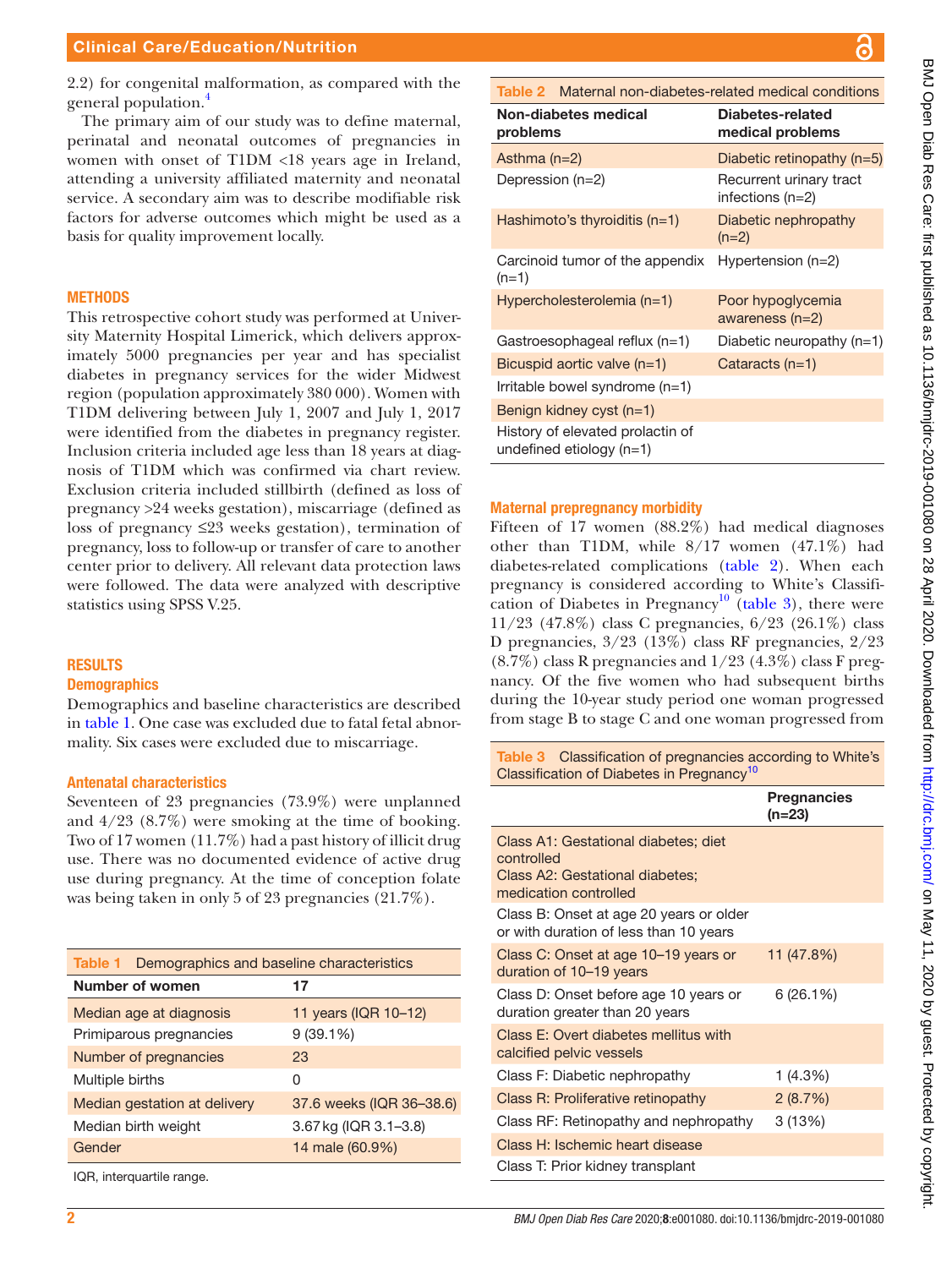2.2) for congenital malformation, as compared with the general population[.4](#page-3-5)

The primary aim of our study was to define maternal, perinatal and neonatal outcomes of pregnancies in women with onset of T1DM <18 years age in Ireland, attending a university affiliated maternity and neonatal service. A secondary aim was to describe modifiable risk factors for adverse outcomes which might be used as a basis for quality improvement locally.

# **METHODS**

This retrospective cohort study was performed at University Maternity Hospital Limerick, which delivers approximately 5000 pregnancies per year and has specialist diabetes in pregnancy services for the wider Midwest region (population approximately 380 000). Women with T1DM delivering between July 1, 2007 and July 1, 2017 were identified from the diabetes in pregnancy register. Inclusion criteria included age less than 18 years at diagnosis of T1DM which was confirmed via chart review. Exclusion criteria included stillbirth (defined as loss of pregnancy >24 weeks gestation), miscarriage (defined as loss of pregnancy ≤23 weeks gestation), termination of pregnancy, loss to follow-up or transfer of care to another center prior to delivery. All relevant data protection laws were followed. The data were analyzed with descriptive statistics using SPSS V.25.

# **RESULTS**

#### **Demographics**

Demographics and baseline characteristics are described in [table](#page-1-0) 1. One case was excluded due to fatal fetal abnormality. Six cases were excluded due to miscarriage.

#### Antenatal characteristics

Seventeen of 23 pregnancies (73.9%) were unplanned and 4/23 (8.7%) were smoking at the time of booking. Two of 17 women (11.7%) had a past history of illicit drug use. There was no documented evidence of active drug use during pregnancy. At the time of conception folate was being taken in only 5 of 23 pregnancies (21.7%).

<span id="page-1-0"></span>

| Demographics and baseline characteristics<br>Table 1 |                          |  |
|------------------------------------------------------|--------------------------|--|
| <b>Number of women</b>                               | 17                       |  |
| Median age at diagnosis                              | 11 years (IQR 10-12)     |  |
| Primiparous pregnancies                              | $9(39.1\%)$              |  |
| Number of pregnancies                                | 23                       |  |
| Multiple births                                      | 0                        |  |
| Median gestation at delivery                         | 37.6 weeks (IQR 36-38.6) |  |
| Median birth weight                                  | 3.67 kg (IQR 3.1-3.8)    |  |
| Gender                                               | 14 male (60.9%)          |  |

IQR, interquartile range.

| . .<br><b>Service Service</b><br><b>Contract Contract Contract Contract Contract Contract Contract Contract Contract Contract Contract Contract C</b>                                  |
|----------------------------------------------------------------------------------------------------------------------------------------------------------------------------------------|
| . .<br>٠<br><b>Contract Contract Contract Contract Contract Contract Contract Contract Contract Contract Contract Contract C</b><br><b>Service Service</b><br>$\overline{\mathcal{L}}$ |
|                                                                                                                                                                                        |
|                                                                                                                                                                                        |

<span id="page-1-1"></span>

| Maternal non-diabetes-related medical conditions<br>Table 2  |                                             |
|--------------------------------------------------------------|---------------------------------------------|
| Non-diabetes medical<br>problems                             | Diabetes-related<br>medical problems        |
| Asthma $(n=2)$                                               | Diabetic retinopathy $(n=5)$                |
| Depression $(n=2)$                                           | Recurrent urinary tract<br>infections (n=2) |
| Hashimoto's thyroiditis (n=1)                                | Diabetic nephropathy<br>$(n=2)$             |
| Carcinoid tumor of the appendix<br>$(n=1)$                   | Hypertension $(n=2)$                        |
| Hypercholesterolemia (n=1)                                   | Poor hypoglycemia<br>awareness $(n=2)$      |
| Gastroesophageal reflux $(n=1)$                              | Diabetic neuropathy $(n=1)$                 |
| Bicuspid aortic valve (n=1)                                  | Cataracts $(n=1)$                           |
| Irritable bowel syndrome (n=1)                               |                                             |
| Benign kidney cyst (n=1)                                     |                                             |
| History of elevated prolactin of<br>undefined etiology (n=1) |                                             |

## Maternal prepregnancy morbidity

Fifteen of 17 women (88.2%) had medical diagnoses other than T1DM, while 8/17 women (47.1%) had diabetes-related complications ([table](#page-1-1) 2). When each pregnancy is considered according to White's Classification of Diabetes in Pregnancy<sup>10</sup> ([table](#page-1-2) 3), there were 11/23 (47.8%) class C pregnancies, 6/23 (26.1%) class D pregnancies, 3/23 (13%) class RF pregnancies, 2/23  $(8.7\%)$  class R pregnancies and  $1/23$   $(4.3\%)$  class F pregnancy. Of the five women who had subsequent births during the 10-year study period one woman progressed from stage B to stage C and one woman progressed from

<span id="page-1-2"></span>Table 3 Classification of pregnancies according to White's Classification of Diabetes in Pregnancy<sup>[10](#page-3-4)</sup>

|                                                                                                                | <b>Pregnancies</b><br>(n=23) |
|----------------------------------------------------------------------------------------------------------------|------------------------------|
| Class A1: Gestational diabetes; diet<br>controlled<br>Class A2: Gestational diabetes;<br>medication controlled |                              |
| Class B: Onset at age 20 years or older<br>or with duration of less than 10 years                              |                              |
| Class C: Onset at age 10–19 years or<br>duration of 10–19 years                                                | 11 (47.8%)                   |
| Class D: Onset before age 10 years or<br>duration greater than 20 years                                        | $6(26.1\%)$                  |
| Class E: Overt diabetes mellitus with<br>calcified pelvic vessels                                              |                              |
| Class F: Diabetic nephropathy                                                                                  | 1 (4.3%)                     |
| Class R: Proliferative retinopathy                                                                             | 2(8.7%)                      |
| Class RF: Retinopathy and nephropathy                                                                          | 3(13%)                       |
| Class H: Ischemic heart disease                                                                                |                              |
| Class T: Prior kidney transplant                                                                               |                              |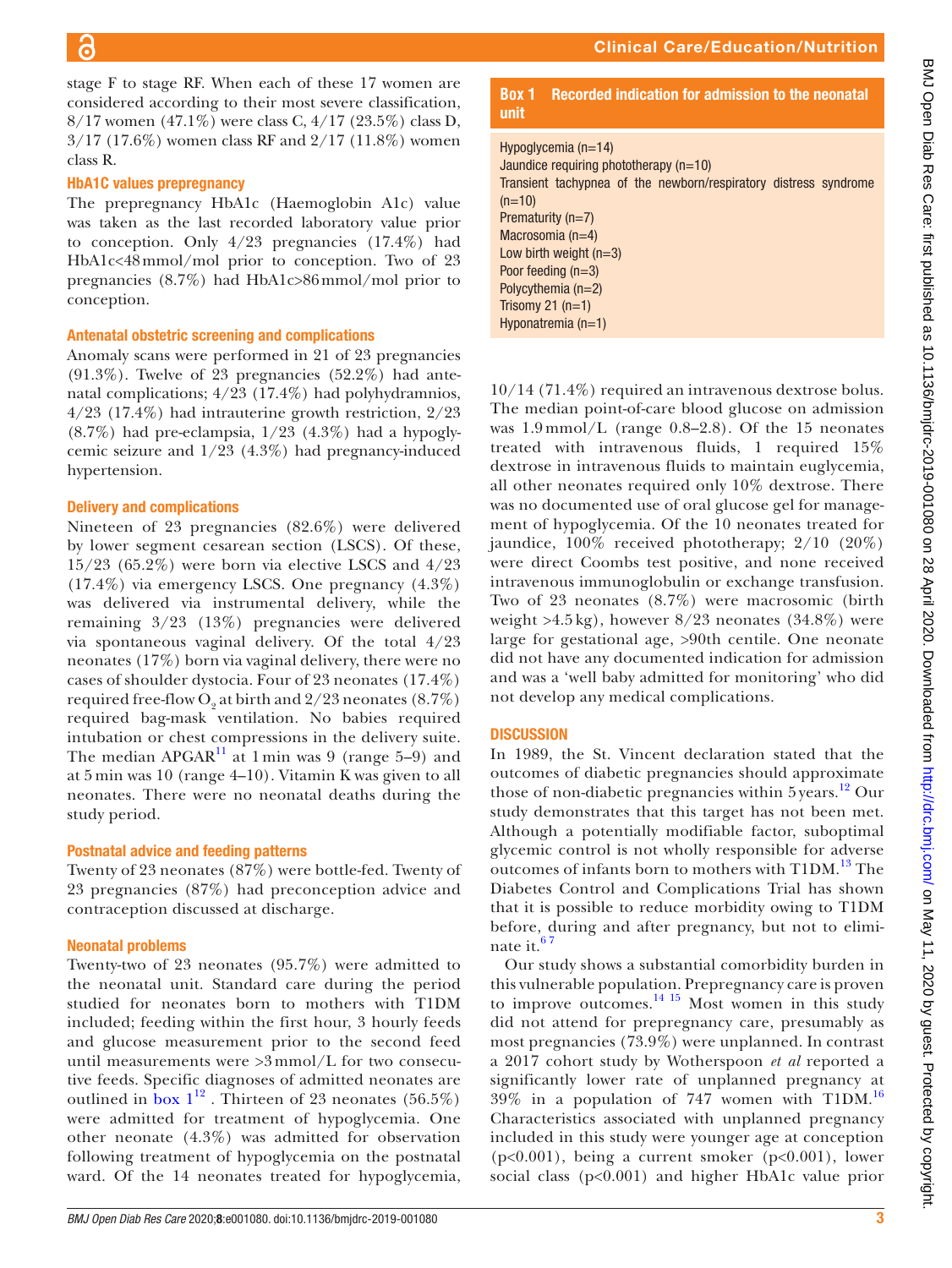stage F to stage RF. When each of these 17 women are considered according to their most severe classification, 8/17 women (47.1%) were class C, 4/17 (23.5%) class D, 3/17 (17.6%) women class RF and 2/17 (11.8%) women class R.

## HbA1C values prepregnancy

The prepregnancy HbA1c (Haemoglobin A1c) value was taken as the last recorded laboratory value prior to conception. Only 4/23 pregnancies (17.4%) had HbA1c<48mmol/mol prior to conception. Two of 23 pregnancies (8.7%) had HbA1c>86mmol/mol prior to conception.

# Antenatal obstetric screening and complications

Anomaly scans were performed in 21 of 23 pregnancies  $(91.3\%)$ . Twelve of 23 pregnancies  $(52.2\%)$  had antenatal complications; 4/23 (17.4%) had polyhydramnios, 4/23 (17.4%) had intrauterine growth restriction, 2/23 (8.7%) had pre-eclampsia, 1/23 (4.3%) had a hypoglycemic seizure and 1/23 (4.3%) had pregnancy-induced hypertension.

# Delivery and complications

Nineteen of 23 pregnancies (82.6%) were delivered by lower segment cesarean section (LSCS). Of these, 15/23 (65.2%) were born via elective LSCS and 4/23 (17.4%) via emergency LSCS. One pregnancy (4.3%) was delivered via instrumental delivery, while the remaining 3/23 (13%) pregnancies were delivered via spontaneous vaginal delivery. Of the total 4/23 neonates (17%) born via vaginal delivery, there were no cases of shoulder dystocia. Four of 23 neonates (17.4%) required free-flow  $O_{\frac{1}{2}}$  at birth and  $2/23$  neonates  $(8.7\%)$ required bag-mask ventilation. No babies required intubation or chest compressions in the delivery suite. The median APGAR<sup>[11](#page-3-6)</sup> at 1 min was 9 (range 5–9) and at 5 min was 10 (range 4–10). Vitamin K was given to all neonates. There were no neonatal deaths during the study period.

# Postnatal advice and feeding patterns

Twenty of 23 neonates (87%) were bottle-fed. Twenty of 23 pregnancies (87%) had preconception advice and contraception discussed at discharge.

# Neonatal problems

Twenty-two of 23 neonates (95.7%) were admitted to the neonatal unit. Standard care during the period studied for neonates born to mothers with T1DM included; feeding within the first hour, 3 hourly feeds and glucose measurement prior to the second feed until measurements were >3 mmol/L for two consecutive feeds. Specific diagnoses of admitted neonates are outlined in [box](#page-2-0)  $1^{12}$ . Thirteen of 23 neonates (56.5%) were admitted for treatment of hypoglycemia. One other neonate (4.3%) was admitted for observation following treatment of hypoglycemia on the postnatal ward. Of the 14 neonates treated for hypoglycemia,

# **Box 1** Recorded indication for admission to the neonatal

Clinical Care/Education/Nutrition

<span id="page-2-0"></span>

| Hypoglycemia $(n=14)$<br>Jaundice requiring phototherapy (n=10)  |
|------------------------------------------------------------------|
| Transient tachypnea of the newborn/respiratory distress syndrome |
| $(n=10)$                                                         |
| Prematurity (n=7)                                                |
| Macrosomia $(n=4)$                                               |
| Low birth weight $(n=3)$                                         |
| Poor feeding $(n=3)$                                             |
| Polycythemia $(n=2)$                                             |
| Trisomy 21 $(n=1)$                                               |
| Hyponatremia $(n=1)$                                             |

10/14 (71.4%) required an intravenous dextrose bolus. The median point-of-care blood glucose on admission was  $1.9 \text{mmol/L}$  (range 0.8–2.8). Of the 15 neonates treated with intravenous fluids, 1 required 15% dextrose in intravenous fluids to maintain euglycemia, all other neonates required only 10% dextrose. There was no documented use of oral glucose gel for management of hypoglycemia. Of the 10 neonates treated for jaundice, 100% received phototherapy; 2/10 (20%) were direct Coombs test positive, and none received intravenous immunoglobulin or exchange transfusion. Two of 23 neonates (8.7%) were macrosomic (birth weight  $>4.5 \text{ kg}$ , however  $8/23$  neonates (34.8%) were large for gestational age, >90th centile. One neonate did not have any documented indication for admission and was a 'well baby admitted for monitoring' who did not develop any medical complications.

# **DISCUSSION**

unit

In 1989, the St. Vincent declaration stated that the outcomes of diabetic pregnancies should approximate those of non-diabetic pregnancies within 5 years.<sup>[12](#page-3-7)</sup> Our study demonstrates that this target has not been met. Although a potentially modifiable factor, suboptimal glycemic control is not wholly responsible for adverse outcomes of infants born to mothers with T1DM.<sup>13</sup> The Diabetes Control and Complications Trial has shown that it is possible to reduce morbidity owing to T1DM before, during and after pregnancy, but not to eliminate it.<sup>67</sup>

Our study shows a substantial comorbidity burden in this vulnerable population. Prepregnancy care is proven to improve outcomes. $^{14}$  <sup>15</sup> Most women in this study did not attend for prepregnancy care, presumably as most pregnancies (73.9%) were unplanned. In contrast a 2017 cohort study by Wotherspoon *et al* reported a significantly lower rate of unplanned pregnancy at 39% in a population of 747 women with T1DM.[16](#page-3-11) Characteristics associated with unplanned pregnancy included in this study were younger age at conception  $(p<0.001)$ , being a current smoker  $(p<0.001)$ , lower social class (p<0.001) and higher HbA1c value prior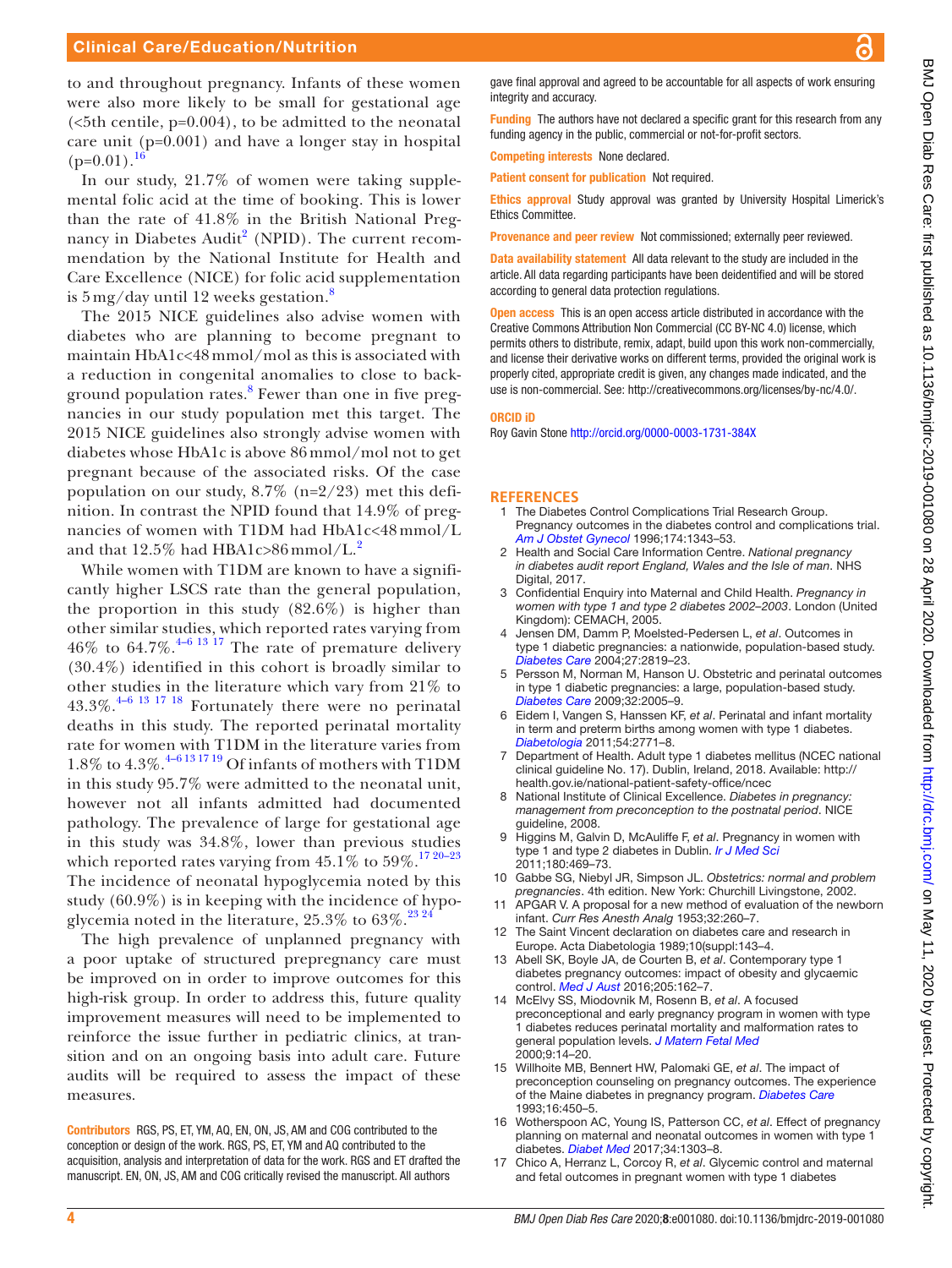to and throughout pregnancy. Infants of these women were also more likely to be small for gestational age  $\left($  <5th centile, p=0.004), to be admitted to the neonatal care unit (p=0.001) and have a longer stay in hospital  $(p=0.01)$ .<sup>[16](#page-3-11)</sup>

In our study, 21.7% of women were taking supplemental folic acid at the time of booking. This is lower than the rate of 41.8% in the British National Preg-nancy in Diabetes Audit<sup>[2](#page-3-12)</sup> (NPID). The current recommendation by the National Institute for Health and Care Excellence (NICE) for folic acid supplementation is  $5 \,\mathrm{mg}/\mathrm{day}$  until 12 weeks gestation.<sup>[8](#page-3-2)</sup>

The 2015 NICE guidelines also advise women with diabetes who are planning to become pregnant to maintain HbA1c<48 mmol/mol as this is associated with a reduction in congenital anomalies to close to back-ground population rates.<sup>[8](#page-3-2)</sup> Fewer than one in five pregnancies in our study population met this target. The 2015 NICE guidelines also strongly advise women with diabetes whose HbA1c is above 86 mmol/mol not to get pregnant because of the associated risks. Of the case population on our study, 8.7% (n=2/23) met this definition. In contrast the NPID found that 14.9% of pregnancies of women with T1DM had HbA1c<48 mmol/L and that  $12.5\%$  $12.5\%$  $12.5\%$  had HBA1c>86 mmol/L.<sup>2</sup>

While women with T1DM are known to have a significantly higher LSCS rate than the general population, the proportion in this study (82.6%) is higher than other similar studies, which reported rates varying from 46% to  $64.7\%$ .<sup>[4–6 13 17](#page-3-5)</sup> The rate of premature delivery (30.4%) identified in this cohort is broadly similar to other studies in the literature which vary from 21% to 43.3%.[4–6 13 17 18](#page-3-5) Fortunately there were no perinatal deaths in this study. The reported perinatal mortality rate for women with T1DM in the literature varies from  $1.8\%$  to  $4.3\%$ .<sup>[4–6 13 17 19](#page-3-5)</sup> Of infants of mothers with T1DM in this study 95.7% were admitted to the neonatal unit, however not all infants admitted had documented pathology. The prevalence of large for gestational age in this study was 34.8%, lower than previous studies which reported rates varying from  $45.1\%$  to  $59\%$ .<sup>[17 20–23](#page-3-13)</sup> The incidence of neonatal hypoglycemia noted by this study (60.9%) is in keeping with the incidence of hypoglycemia noted in the literature,  $25.3\%$  to  $63\%$ .<sup>2324</sup>

The high prevalence of unplanned pregnancy with a poor uptake of structured prepregnancy care must be improved on in order to improve outcomes for this high-risk group. In order to address this, future quality improvement measures will need to be implemented to reinforce the issue further in pediatric clinics, at transition and on an ongoing basis into adult care. Future audits will be required to assess the impact of these measures.

Contributors RGS, PS, ET, YM, AQ, EN, ON, JS, AM and COG contributed to the conception or design of the work. RGS, PS, ET, YM and AQ contributed to the acquisition, analysis and interpretation of data for the work. RGS and ET drafted the manuscript. EN, ON, JS, AM and COG critically revised the manuscript. All authors

gave final approval and agreed to be accountable for all aspects of work ensuring integrity and accuracy.

Funding The authors have not declared a specific grant for this research from any funding agency in the public, commercial or not-for-profit sectors.

Competing interests None declared.

Patient consent for publication Not required.

Ethics approval Study approval was granted by University Hospital Limerick's Ethics Committee.

Provenance and peer review Not commissioned; externally peer reviewed.

Data availability statement All data relevant to the study are included in the article. All data regarding participants have been deidentified and will be stored according to general data protection regulations.

**Open access** This is an open access article distributed in accordance with the Creative Commons Attribution Non Commercial (CC BY-NC 4.0) license, which permits others to distribute, remix, adapt, build upon this work non-commercially, and license their derivative works on different terms, provided the original work is properly cited, appropriate credit is given, any changes made indicated, and the use is non-commercial. See:<http://creativecommons.org/licenses/by-nc/4.0/>.

#### ORCID iD

Roy Gavin Stone<http://orcid.org/0000-0003-1731-384X>

#### **References**

- <span id="page-3-0"></span>1 The Diabetes Control Complications Trial Research Group. Pregnancy outcomes in the diabetes control and complications trial. *[Am J Obstet Gynecol](http://dx.doi.org/10.1016/S0002-9378(96)70683-X)* 1996;174:1343–53.
- <span id="page-3-12"></span>2 Health and Social Care Information Centre. *National pregnancy in diabetes audit report England, Wales and the Isle of man*. NHS Digital, 2017.
- 3 Confidential Enquiry into Maternal and Child Health. *Pregnancy in women with type 1 and type 2 diabetes 2002–2003*. London (United Kingdom): CEMACH, 2005.
- <span id="page-3-5"></span>4 Jensen DM, Damm P, Moelsted-Pedersen L, *et al*. Outcomes in type 1 diabetic pregnancies: a nationwide, population-based study. *[Diabetes Care](http://dx.doi.org/10.2337/diacare.27.12.2819)* 2004;27:2819–23.
- 5 Persson M, Norman M, Hanson U. Obstetric and perinatal outcomes in type 1 diabetic pregnancies: a large, population-based study. *[Diabetes Care](http://dx.doi.org/10.2337/dc09-0656)* 2009;32:2005–9.
- <span id="page-3-9"></span>6 Eidem I, Vangen S, Hanssen KF, *et al*. Perinatal and infant mortality in term and preterm births among women with type 1 diabetes. *[Diabetologia](http://dx.doi.org/10.1007/s00125-011-2281-7)* 2011;54:2771–8.
- <span id="page-3-1"></span>Department of Health. Adult type 1 diabetes mellitus (NCEC national clinical guideline No. 17). Dublin, Ireland, 2018. Available: [http://](http://health.gov.ie/national-patient-safety-office/ncec) [health.gov.ie/national-patient-safety-office/ncec](http://health.gov.ie/national-patient-safety-office/ncec)
- <span id="page-3-2"></span>8 National Institute of Clinical Excellence. *Diabetes in pregnancy: management from preconception to the postnatal period*. NICE guideline, 2008.
- <span id="page-3-3"></span>Higgins M, Galvin D, McAuliffe F, et al. Pregnancy in women with type 1 and type 2 diabetes in Dublin. *[Ir J Med Sci](http://dx.doi.org/10.1007/s11845-011-0682-8)* 2011;180:469–73.
- <span id="page-3-4"></span>10 Gabbe SG, Niebyl JR, Simpson JL. *Obstetrics: normal and problem pregnancies*. 4th edition. New York: Churchill Livingstone, 2002.
- <span id="page-3-6"></span>11 APGAR V. A proposal for a new method of evaluation of the newborn infant. *Curr Res Anesth Analg* 1953;32:260–7.
- <span id="page-3-7"></span>12 The Saint Vincent declaration on diabetes care and research in Europe. Acta Diabetologia 1989;10(suppl:143–4.
- <span id="page-3-8"></span>13 Abell SK, Boyle JA, de Courten B, *et al*. Contemporary type 1 diabetes pregnancy outcomes: impact of obesity and glycaemic control. *[Med J Aust](http://dx.doi.org/10.5694/mja16.00443)* 2016;205:162–7.
- <span id="page-3-10"></span>14 McElvy SS, Miodovnik M, Rosenn B, *et al*. A focused preconceptional and early pregnancy program in women with type 1 diabetes reduces perinatal mortality and malformation rates to general population levels. *[J Matern Fetal Med](http://dx.doi.org/10.1002/(SICI)1520-6661(200001/02)9:1<14::AID-MFM5>3.0.CO;2-K)* 2000;9:14–20.
- 15 Willhoite MB, Bennert HW, Palomaki GE, *et al*. The impact of preconception counseling on pregnancy outcomes. The experience of the Maine diabetes in pregnancy program. *[Diabetes Care](http://dx.doi.org/10.2337/diacare.16.2.450)* 1993;16:450–5.
- <span id="page-3-11"></span>16 Wotherspoon AC, Young IS, Patterson CC, *et al*. Effect of pregnancy planning on maternal and neonatal outcomes in women with type 1 diabetes. *[Diabet Med](http://dx.doi.org/10.1111/dme.13398)* 2017;34:1303–8.
- <span id="page-3-13"></span>17 Chico A, Herranz L, Corcoy R, *et al*. Glycemic control and maternal and fetal outcomes in pregnant women with type 1 diabetes